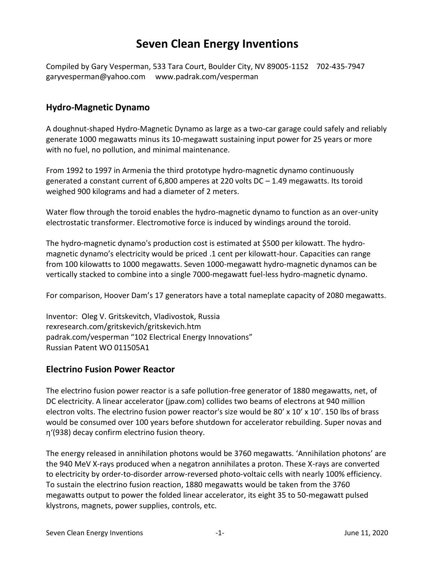# **Seven Clean Energy Inventions**

Compiled by Gary Vesperman, 533 Tara Court, Boulder City, NV 89005-1152 702-435-7947 garyvesperman@yahoo.com www.padrak.com/vesperman

#### **Hydro-Magnetic Dynamo**

A doughnut-shaped Hydro-Magnetic Dynamo as large as a two-car garage could safely and reliably generate 1000 megawatts minus its 10-megawatt sustaining input power for 25 years or more with no fuel, no pollution, and minimal maintenance.

From 1992 to 1997 in Armenia the third prototype hydro-magnetic dynamo continuously generated a constant current of 6,800 amperes at 220 volts DC – 1.49 megawatts. Its toroid weighed 900 kilograms and had a diameter of 2 meters.

Water flow through the toroid enables the hydro-magnetic dynamo to function as an over-unity electrostatic transformer. Electromotive force is induced by windings around the toroid.

The hydro-magnetic dynamo's production cost is estimated at \$500 per kilowatt. The hydromagnetic dynamo's electricity would be priced .1 cent per kilowatt-hour. Capacities can range from 100 kilowatts to 1000 megawatts. Seven 1000-megawatt hydro-magnetic dynamos can be vertically stacked to combine into a single 7000-megawatt fuel-less hydro-magnetic dynamo.

For comparison, Hoover Dam's 17 generators have a total nameplate capacity of 2080 megawatts.

Inventor: Oleg V. Gritskevitch, Vladivostok, Russia rexresearch.com/gritskevich/gritskevich.htm padrak.com/vesperman "102 Electrical Energy Innovations" Russian Patent WO 011505A1

#### **Electrino Fusion Power Reactor**

The electrino fusion power reactor is a safe pollution-free generator of 1880 megawatts, net, of DC electricity. A linear accelerator (jpaw.com) collides two beams of electrons at 940 million electron volts. The electrino fusion power reactor's size would be 80' x 10' x 10'. 150 lbs of brass would be consumed over 100 years before shutdown for accelerator rebuilding. Super novas and η'(938) decay confirm electrino fusion theory.

The energy released in annihilation photons would be 3760 megawatts. 'Annihilation photons' are the 940 MeV X-rays produced when a negatron annihilates a proton. These X-rays are converted to electricity by order-to-disorder arrow-reversed photo-voltaic cells with nearly 100% efficiency. To sustain the electrino fusion reaction, 1880 megawatts would be taken from the 3760 megawatts output to power the folded linear accelerator, its eight 35 to 50-megawatt pulsed klystrons, magnets, power supplies, controls, etc.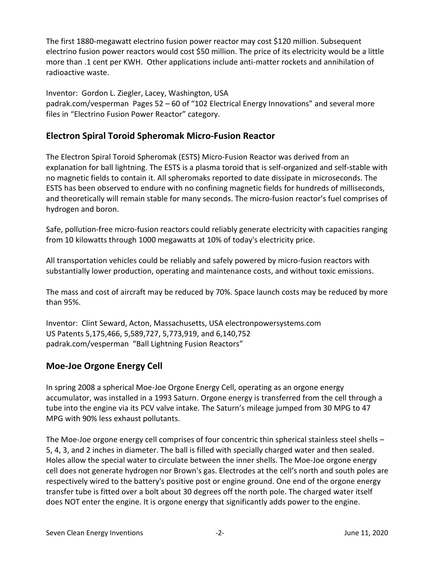The first 1880-megawatt electrino fusion power reactor may cost \$120 million. Subsequent electrino fusion power reactors would cost \$50 million. The price of its electricity would be a little more than .1 cent per KWH. Other applications include anti-matter rockets and annihilation of radioactive waste.

Inventor: Gordon L. Ziegler, Lacey, Washington, USA padrak.com/vesperman Pages 52 – 60 of "102 Electrical Energy Innovations" and several more files in "Electrino Fusion Power Reactor" category.

## **Electron Spiral Toroid Spheromak Micro-Fusion Reactor**

The Electron Spiral Toroid Spheromak (ESTS) Micro-Fusion Reactor was derived from an explanation for ball lightning. The ESTS is a plasma toroid that is self-organized and self-stable with no magnetic fields to contain it. All spheromaks reported to date dissipate in microseconds. The ESTS has been observed to endure with no confining magnetic fields for hundreds of milliseconds, and theoretically will remain stable for many seconds. The micro-fusion reactor's fuel comprises of hydrogen and boron.

Safe, pollution-free micro-fusion reactors could reliably generate electricity with capacities ranging from 10 kilowatts through 1000 megawatts at 10% of today's electricity price.

All transportation vehicles could be reliably and safely powered by micro-fusion reactors with substantially lower production, operating and maintenance costs, and without toxic emissions.

The mass and cost of aircraft may be reduced by 70%. Space launch costs may be reduced by more than 95%.

Inventor: Clint Seward, Acton, Massachusetts, USA electronpowersystems.com US Patents 5,175,466, 5,589,727, 5,773,919, and 6,140,752 padrak.com/vesperman "Ball Lightning Fusion Reactors"

## **Moe-Joe Orgone Energy Cell**

In spring 2008 a spherical Moe-Joe Orgone Energy Cell, operating as an orgone energy accumulator, was installed in a 1993 Saturn. Orgone energy is transferred from the cell through a tube into the engine via its PCV valve intake. The Saturn's mileage jumped from 30 MPG to 47 MPG with 90% less exhaust pollutants.

The Moe-Joe orgone energy cell comprises of four concentric thin spherical stainless steel shells – 5, 4, 3, and 2 inches in diameter. The ball is filled with specially charged water and then sealed. Holes allow the special water to circulate between the inner shells. The Moe-Joe orgone energy cell does not generate hydrogen nor Brown's gas. Electrodes at the cell's north and south poles are respectively wired to the battery's positive post or engine ground. One end of the orgone energy transfer tube is fitted over a bolt about 30 degrees off the north pole. The charged water itself does NOT enter the engine. It is orgone energy that significantly adds power to the engine.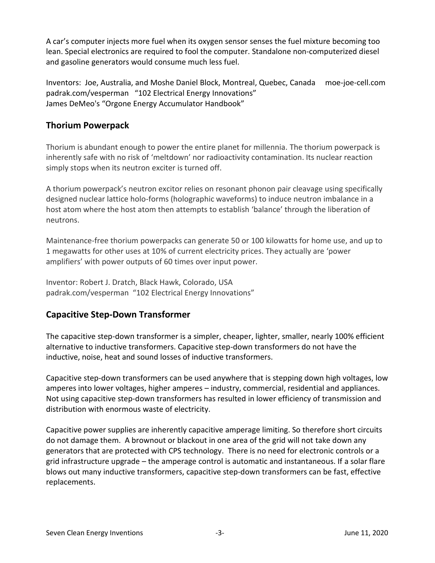A car's computer injects more fuel when its oxygen sensor senses the fuel mixture becoming too lean. Special electronics are required to fool the computer. Standalone non-computerized diesel and gasoline generators would consume much less fuel.

Inventors: Joe, Australia, and Moshe Daniel Block, Montreal, Quebec, Canada moe-joe-cell.com padrak.com/vesperman "102 Electrical Energy Innovations" James DeMeo's "Orgone Energy Accumulator Handbook"

## **Thorium Powerpack**

Thorium is abundant enough to power the entire planet for millennia. The thorium powerpack is inherently safe with no risk of 'meltdown' nor radioactivity contamination. Its nuclear reaction simply stops when its neutron exciter is turned off.

A thorium powerpack's neutron excitor relies on resonant phonon pair cleavage using specifically designed nuclear lattice holo-forms (holographic waveforms) to induce neutron imbalance in a host atom where the host atom then attempts to establish 'balance' through the liberation of neutrons.

Maintenance-free thorium powerpacks can generate 50 or 100 kilowatts for home use, and up to 1 megawatts for other uses at 10% of current electricity prices. They actually are 'power amplifiers' with power outputs of 60 times over input power.

Inventor: Robert J. Dratch, Black Hawk, Colorado, USA padrak.com/vesperman "102 Electrical Energy Innovations"

## **Capacitive Step-Down Transformer**

The capacitive step-down transformer is a simpler, cheaper, lighter, smaller, nearly 100% efficient alternative to inductive transformers. Capacitive step-down transformers do not have the inductive, noise, heat and sound losses of inductive transformers.

Capacitive step-down transformers can be used anywhere that is stepping down high voltages, low amperes into lower voltages, higher amperes – industry, commercial, residential and appliances. Not using capacitive step-down transformers has resulted in lower efficiency of transmission and distribution with enormous waste of electricity.

Capacitive power supplies are inherently capacitive amperage limiting. So therefore short circuits do not damage them. A brownout or blackout in one area of the grid will not take down any generators that are protected with CPS technology. There is no need for electronic controls or a grid infrastructure upgrade – the amperage control is automatic and instantaneous. If a solar flare blows out many inductive transformers, capacitive step-down transformers can be fast, effective replacements.